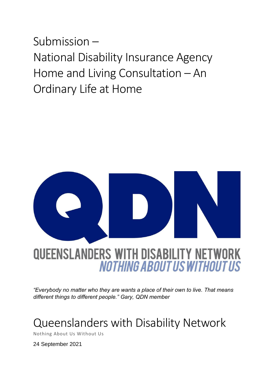# Submission – National Disability Insurance Agency Home and Living Consultation – An Ordinary Life at Home



*"Everybody no matter who they are wants a place of their own to live. That means different things to different people." Gary, QDN member* 

## Queenslanders with Disability Network

Nothing About Us Without Us

24 September 2021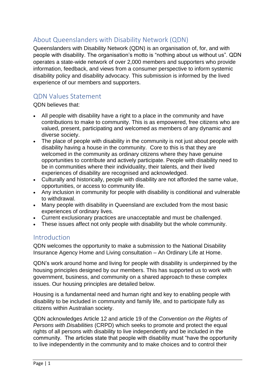## About Queenslanders with Disability Network (QDN)

Queenslanders with Disability Network (QDN) is an organisation of, for, and with people with disability. The organisation's motto is "nothing about us without us". QDN operates a state-wide network of over 2,000 members and supporters who provide information, feedback, and views from a consumer perspective to inform systemic disability policy and disability advocacy. This submission is informed by the lived experience of our members and supporters.

## QDN Values Statement

QDN believes that:

- All people with disability have a right to a place in the community and have contributions to make to community. This is as empowered, free citizens who are valued, present, participating and welcomed as members of any dynamic and diverse society.
- The place of people with disability in the community is not just about people with disability having a house in the community. Core to this is that they are welcomed in the community as ordinary citizens where they have genuine opportunities to contribute and actively participate. People with disability need to be in communities where their individuality, their talents, and their lived experiences of disability are recognised and acknowledged.
- Culturally and historically, people with disability are not afforded the same value, opportunities, or access to community life.
- Any inclusion in community for people with disability is conditional and vulnerable to withdrawal.
- Many people with disability in Queensland are excluded from the most basic experiences of ordinary lives.
- Current exclusionary practices are unacceptable and must be challenged.
- These issues affect not only people with disability but the whole community.

## **Introduction**

QDN welcomes the opportunity to make a submission to the National Disability Insurance Agency Home and Living consultation – An Ordinary Life at Home.

QDN's work around home and living for people with disability is underpinned by the housing principles designed by our members. This has supported us to work with government, business, and community on a shared approach to these complex issues. Our housing principles are detailed below.

Housing is a fundamental need and human right and key to enabling people with disability to be included in community and family life, and to participate fully as citizens within Australian society.

QDN acknowledges Article 12 and article 19 of the *Convention on the Rights of Persons with Disabilities* (CRPD) which seeks to promote and protect the equal rights of all persons with disability to live independently and be included in the community. The articles state that people with disability must "have the opportunity to live independently in the community and to make choices and to control their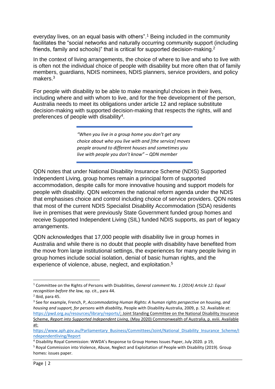everyday lives, on an equal basis with others".<sup>1</sup> Being included in the community facilitates the "social networks and naturally occurring community support (including friends, family and schools)" that is critical for supported decision-making.<sup>2</sup>

In the context of living arrangements, the choice of where to live and who to live with is often not the individual choice of people with disability but more often that of family members, guardians, NDIS nominees, NDIS planners, service providers, and policy makers.<sup>3</sup>

For people with disability to be able to make meaningful choices in their lives, including where and with whom to live, and for the free development of the person, Australia needs to meet its obligations under article 12 and replace substitute decision-making with supported decision-making that respects the rights, will and preferences of people with disability<sup>4</sup>.

> *"When you live in a group home you don't get any choice about who you live with and [the service] moves people around to different houses and sometimes you live with people you don't know" – QDN member*

QDN notes that under National Disability Insurance Scheme (NDIS) Supported Independent Living, group homes remain a principal form of supported accommodation, despite calls for more innovative housing and support models for people with disability. QDN welcomes the national reform agenda under the NDIS that emphasises choice and control including choice of service providers. QDN notes that most of the current NDIS Specialist Disability Accommodation (SDA) residents live in premises that were previously State Government funded group homes and receive Supported Independent Living (SIL) funded NDIS supports, as part of legacy arrangements.

QDN acknowledges that 17,000 people with disability live in group homes in Australia and while there is no doubt that people with disability have benefited from the move from large institutional settings, the experiences for many people living in group homes include social isolation, denial of basic human rights, and the experience of violence, abuse, neglect, and exploitation.<sup>5</sup>

<sup>1</sup> Committee on the Rights of Persons with Disabilities, *General comment No. 1 (2014) Article 12: Equal recognition before the law,* op. cit., para 44.

 $<sup>2</sup>$  Ibid, para 45.</sup>

<sup>3</sup> See for example, French, P, *Accommodating Human Rights: A human rights perspective on housing, and housing and support, for persons with disability,* People with Disability Australia, 2009, p. 52. Available at: [https://pwd.org.au/resources/library/reports/;](https://pwd.org.au/resources/library/reports/) Joint Standing Committee on the National Disability Insurance Scheme, *Report into Supported Independent Living*, (May 2020) Commonwealth of Australia, p. xviii. Available at:

[https://www.aph.gov.au/Parliamentary\\_Business/Committees/Joint/National\\_Disability\\_Insurance\\_Scheme/I](https://www.aph.gov.au/Parliamentary_Business/Committees/Joint/National_Disability_Insurance_Scheme/Independentliving/Report) [ndependentliving/Report](https://www.aph.gov.au/Parliamentary_Business/Committees/Joint/National_Disability_Insurance_Scheme/Independentliving/Report)

<sup>4</sup> Disability Royal Commission: WWDA's Response to Group Homes Issues Paper, July 2020. p 19,

<sup>5</sup> Royal Commission into Violence, Abuse, Neglect and Exploitation of People with Disability (2019). Group homes: issues paper.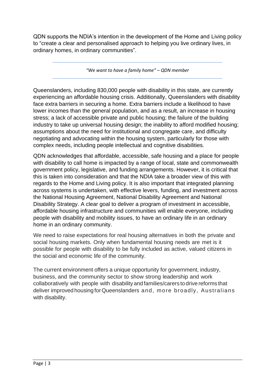QDN supports the NDIA's intention in the development of the Home and Living policy to "create a clear and personalised approach to helping you live ordinary lives, in ordinary homes, in ordinary communities".

*"We want to have a family home" – QDN member*

Queenslanders, including 830,000 people with disability in this state, are currently experiencing an affordable housing crisis. Additionally, Queenslanders with disability face extra barriers in securing a home. Extra barriers include a likelihood to have lower incomes than the general population, and as a result, an increase in housing stress; a lack of accessible private and public housing; the failure of the building industry to take up universal housing design; the inability to afford modified housing; assumptions about the need for institutional and congregate care, and difficulty negotiating and advocating within the housing system, particularly for those with complex needs, including people intellectual and cognitive disabilities.

QDN acknowledges that affordable, accessible, safe housing and a place for people with disability to call home is impacted by a range of local, state and commonwealth government policy, legislative, and funding arrangements. However, it is critical that this is taken into consideration and that the NDIA take a broader view of this with regards to the Home and Living policy. It is also important that integrated planning across systems is undertaken, with effective levers, funding, and investment across the National Housing Agreement, National Disability Agreement and National Disability Strategy. A clear goal to deliver a program of investment in accessible, affordable housing infrastructure and communities will enable everyone, including people with disability and mobility issues, to have an ordinary life in an ordinary home in an ordinary community.

We need to raise expectations for real housing alternatives in both the private and social housing markets. Only when fundamental housing needs are met is it possible for people with disability to be fully included as active, valued citizens in the social and economic life of the community.

The current environment offers a unique opportunity for government, industry, business, and the community sector to show strong leadership and work collaboratively with people with disability and families/carers todrive reforms that deliver improved housing forQueenslanders and, more broadly, Australians with disability.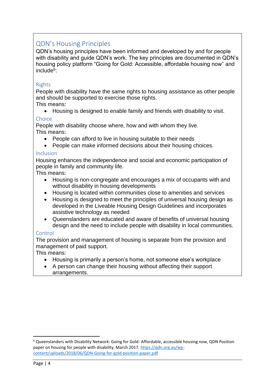## QDN's Housing Principles

QDN's housing principles have been informed and developed by and for people with disability and guide QDN's work. The key principles are documented in QDN's housing policy platform "Going for Gold: Accessible, affordable housing now" and include<sup>6</sup> :

## Rights

People with disability have the same rights to housing assistance as other people and should be supported to exercise those rights.

This means:

• Housing is designed to enable family and friends with disability to visit.

## Choice

People with disability choose where, how and with whom they live.

This means:

- People can afford to live in housing suitable to their needs
- People can make informed decisions about their housing choices.

#### Inclusion

Housing enhances the independence and social and economic participation of people in family and community life.

This means:

- Housing is non-congregate and encourages a mix of occupants with and without disability in housing developments
- Housing is located within communities close to amenities and services
- Housing is designed to meet the principles of universal housing design as developed in the Liveable Housing Design Guidelines and incorporates assistive technology as needed
- Queenslanders are educated and aware of benefits of universal housing design and the need to include people with disability in local communities.

## **Control**

The provision and management of housing is separate from the provision and management of paid support.

This means:

- Housing is primarily a person's home, not someone else's workplace
- A person can change their housing without affecting their support arrangements.

<sup>6</sup> Queenslanders with Disability Network: Going for Gold- Affordable, accessible housing now, QDN Position paper on housing for people with disability, March 2017. [https://qdn.org.au/wp](https://qdn.org.au/wp-content/uploads/2018/06/QDN-Going-for-gold-position-paper.pdf)[content/uploads/2018/06/QDN-Going-for-gold-position-paper.pdf](https://qdn.org.au/wp-content/uploads/2018/06/QDN-Going-for-gold-position-paper.pdf)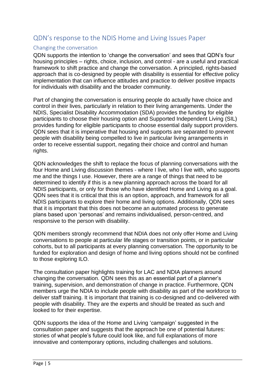## QDN's response to the NDIS Home and Living Issues Paper

## Changing the conversation

QDN supports the intention to 'change the conversation' and sees that QDN's four housing principles – rights, choice, inclusion, and control - are a useful and practical framework to shift practice and change the conversation. A principled, rights-based approach that is co-designed by people with disability is essential for effective policy implementation that can influence attitudes and practice to deliver positive impacts for individuals with disability and the broader community.

Part of changing the conversation is ensuring people do actually have choice and control in their lives, particularly in relation to their living arrangements. Under the NDIS, Specialist Disability Accommodation (SDA) provides the funding for eligible participants to choose their housing option and Supported Independent Living (SIL) provides funding for eligible participants to choose essential daily support providers. QDN sees that it is imperative that housing and supports are separated to prevent people with disability being compelled to live in particular living arrangements in order to receive essential support, negating their choice and control and human rights.

QDN acknowledges the shift to replace the focus of planning conversations with the four Home and Living discussion themes - where I live, who I live with, who supports me and the things I use. However, there are a range of things that need to be determined to identify if this is a new planning approach across the board for all NDIS participants, or only for those who have identified Home and Living as a goal. QDN sees that it is critical that this is an option, approach, and framework for all NDIS participants to explore their home and living options. Additionally, QDN sees that it is important that this does not become an automated process to generate plans based upon 'personas' and remains individualised, person-centred, and responsive to the person with disability.

QDN members strongly recommend that NDIA does not only offer Home and Living conversations to people at particular life stages or transition points, or in particular cohorts, but to all participants at every planning conversation. The opportunity to be funded for exploration and design of home and living options should not be confined to those exploring ILO.

The consultation paper highlights training for LAC and NDIA planners around changing the conversation. QDN sees this as an essential part of a planner's training, supervision, and demonstration of change in practice. Furthermore, QDN members urge the NDIA to include people with disability as part of the workforce to deliver staff training. It is important that training is co-designed and co-delivered with people with disability. They are the experts and should be treated as such and looked to for their expertise.

QDN supports the idea of the Home and Living 'campaign' suggested in the consultation paper and suggests that the approach be one of potential futures: stories of what people's future could look like, and full explanations of more innovative and contemporary options, including challenges and solutions.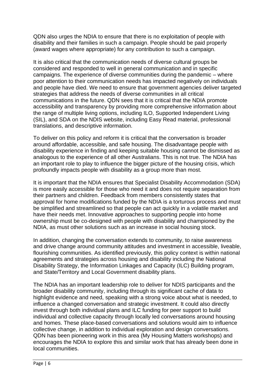QDN also urges the NDIA to ensure that there is no exploitation of people with disability and their families in such a campaign. People should be paid properly (award wages where appropriate) for any contribution to such a campaign.

It is also critical that the communication needs of diverse cultural groups be considered and responded to well in general communication and in specific campaigns. The experience of diverse communities during the pandemic – where poor attention to their communication needs has impacted negatively on individuals and people have died. We need to ensure that government agencies deliver targeted strategies that address the needs of diverse communities in all critical communications in the future. QDN sees that it is critical that the NDIA promote accessibility and transparency by providing more comprehensive information about the range of multiple living options, including ILO, Supported Independent Living (SIL), and SDA on the NDIS website, including Easy Read material, professional translations, and descriptive information.

To deliver on this policy and reform it is critical that the conversation is broader around affordable, accessible, and safe housing. The disadvantage people with disability experience in finding and keeping suitable housing cannot be dismissed as analogous to the experience of all other Australians. This is not true. The NDIA has an important role to play to influence the bigger picture of the housing crisis, which profoundly impacts people with disability as a group more than most.

It is important that the NDIA ensures that Specialist Disability Accommodation (SDA) is more easily accessible for those who need it and does not require separation from their partners and children. Feedback from members consistently states that approval for home modifications funded by the NDIA is a torturous process and must be simplified and streamlined so that people can act quickly in a volatile market and have their needs met. Innovative approaches to supporting people into home ownership must be co-designed with people with disability and championed by the NDIA, as must other solutions such as an increase in social housing stock.

In addition, changing the conversation extends to community, to raise awareness and drive change around community attitudes and investment in accessible, liveable, flourishing communities. As identified previously, this policy context is within national agreements and strategies across housing and disability including the National Disability Strategy, the Information Linkages and Capacity (ILC) Building program, and State/Territory and Local Government disability plans.

The NDIA has an important leadership role to deliver for NDIS participants and the broader disability community, including through its significant cache of data to highlight evidence and need, speaking with a strong voice about what is needed, to influence a changed conversation and strategic investment. It could also directly invest through both individual plans and ILC funding for peer support to build individual and collective capacity through locally led conversations around housing and homes. These place-based conversations and solutions would aim to influence collective change, in addition to individual exploration and design conversations. QDN has been pioneering work in this area (My Housing Matters workshops) and encourages the NDIA to explore this and similar work that has already been done in local communities.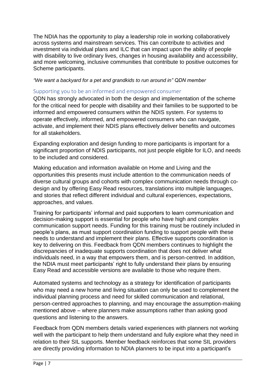The NDIA has the opportunity to play a leadership role in working collaboratively across systems and mainstream services. This can contribute to activities and investment via individual plans and ILC that can impact upon the ability of people with disability to live ordinary lives, changes in housing availability and accessibility, and more welcoming, inclusive communities that contribute to positive outcomes for Scheme participants.

*"We want a backyard for a pet and grandkids to run around in" QDN member*

#### Supporting you to be an informed and empowered consumer

QDN has strongly advocated in both the design and implementation of the scheme for the critical need for people with disability and their families to be supported to be informed and empowered consumers within the NDIS system. For systems to operate effectively, informed, and empowered consumers who can navigate, activate, and implement their NDIS plans effectively deliver benefits and outcomes for all stakeholders.

Expanding exploration and design funding to more participants is important for a significant proportion of NDIS participants, not just people eligible for ILO, and needs to be included and considered.

Making education and information available on Home and Living and the opportunities this presents must include attention to the communication needs of diverse cultural groups and cohorts with complex communication needs through codesign and by offering Easy Read resources, translations into multiple languages, and stories that reflect different individual and cultural experiences, expectations, approaches, and values.

Training for participants' informal and paid supporters to learn communication and decision-making support is essential for people who have high and complex communication support needs. Funding for this training must be routinely included in people's plans, as must support coordination funding to support people with these needs to understand and implement their plans. Effective supports coordination is key to delivering on this. Feedback from QDN members continues to highlight the discrepancies of inadequate supports coordination that does not deliver what individuals need, in a way that empowers them, and is person-centred. In addition, the NDIA must meet participants' right to fully understand their plans by ensuring Easy Read and accessible versions are available to those who require them.

Automated systems and technology as a strategy for identification of participants who may need a new home and living situation can only be used to complement the individual planning process and need for skilled communication and relational, person-centred approaches to planning, and may encourage the assumption-making mentioned above – where planners make assumptions rather than asking good questions and listening to the answers.

Feedback from QDN members details varied experiences with planners not working well with the participant to help them understand and fully explore what they need in relation to their SIL supports. Member feedback reinforces that some SIL providers are directly providing information to NDIA planners to be input into a participant's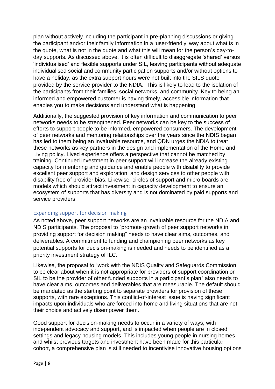plan without actively including the participant in pre-planning discussions or giving the participant and/or their family information in a 'user-friendly' way about what is in the quote, what is not in the quote and what this will mean for the person's day-today supports. As discussed above, it is often difficult to disaggregate 'shared' versus 'individualised' and flexible supports under SIL, leaving participants without adequate individualised social and community participation supports and/or without options to have a holiday, as the extra support hours were not built into the SILS quote provided by the service provider to the NDIA. This is likely to lead to the isolation of the participants from their families, social networks, and community. Key to being an informed and empowered customer is having timely, accessible information that enables you to make decisions and understand what is happening.

Additionally, the suggested provision of key information and communication to peer networks needs to be strengthened. Peer networks can be key to the success of efforts to support people to be informed, empowered consumers. The development of peer networks and mentoring relationships over the years since the NDIS began has led to them being an invaluable resource, and QDN urges the NDIA to treat these networks as key partners in the design and implementation of the Home and Living policy. Lived experience offers a perspective that cannot be matched by training. Continued investment in peer support will increase the already existing capacity for mentoring and guidance and enable people with disability to provide excellent peer support and exploration, and design services to other people with disability free of provider bias. Likewise, circles of support and micro boards are models which should attract investment in capacity development to ensure an ecosystem of supports that has diversity and is not dominated by paid supports and service providers.

## Expanding support for decision making

As noted above, peer support networks are an invaluable resource for the NDIA and NDIS participants. The proposal to "promote growth of peer support networks in providing support for decision making" needs to have clear aims, outcomes, and deliverables. A commitment to funding and championing peer networks as key potential supports for decision-making is needed and needs to be identified as a priority investment strategy of ILC.

Likewise, the proposal to "work with the NDIS Quality and Safeguards Commission to be clear about when it is not appropriate for providers of support coordination or SIL to be the provider of other funded supports in a participant's plan" also needs to have clear aims, outcomes and deliverables that are measurable. The default should be mandated as the starting point to separate providers for provision of these supports, with rare exceptions. This conflict-of-interest issue is having significant impacts upon individuals who are forced into home and living situations that are not their choice and actively disempower them.

Good support for decision-making needs to occur in a variety of ways, with independent advocacy and support, and is impacted when people are in closed settings and legacy housing models. This includes young people in nursing homes and whilst previous targets and investment have been made for this particular cohort, a comprehensive plan is still needed to incentivise innovative housing options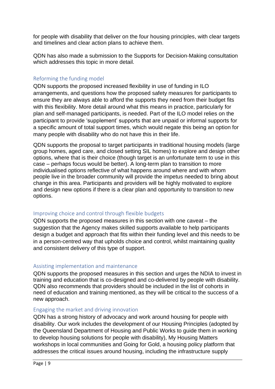for people with disability that deliver on the four housing principles, with clear targets and timelines and clear action plans to achieve them.

QDN has also made a submission to the Supports for Decision-Making consultation which addresses this topic in more detail.

## Reforming the funding model

QDN supports the proposed increased flexibility in use of funding in ILO arrangements, and questions how the proposed safety measures for participants to ensure they are always able to afford the supports they need from their budget fits with this flexibility. More detail around what this means in practice, particularly for plan and self-managed participants, is needed. Part of the ILO model relies on the participant to provide 'supplement' supports that are unpaid or informal supports for a specific amount of total support times, which would negate this being an option for many people with disability who do not have this in their life.

QDN supports the proposal to target participants in traditional housing models (large group homes, aged care, and closed setting SIL homes) to explore and design other options, where that is their choice (though target is an unfortunate term to use in this case – perhaps focus would be better). A long-term plan to transition to more individualised options reflective of what happens around where and with whom people live in the broader community will provide the impetus needed to bring about change in this area. Participants and providers will be highly motivated to explore and design new options if there is a clear plan and opportunity to transition to new options.

## Improving choice and control through flexible budgets

QDN supports the proposed measures in this section with one caveat – the suggestion that the Agency makes skilled supports available to help participants design a budget and approach that fits within their funding level and this needs to be in a person-centred way that upholds choice and control, whilst maintaining quality and consistent delivery of this type of support.

## Assisting implementation and maintenance

QDN supports the proposed measures in this section and urges the NDIA to invest in training and education that is co-designed and co-delivered by people with disability. QDN also recommends that providers should be included in the list of cohorts in need of education and training mentioned, as they will be critical to the success of a new approach.

## Engaging the market and driving innovation

QDN has a strong history of advocacy and work around housing for people with disability. Our work includes the development of our Housing Principles (adopted by the Queensland Department of Housing and Public Works to guide them in working to develop housing solutions for people with disability), My Housing Matters workshops in local communities and Going for Gold, a housing policy platform that addresses the critical issues around housing, including the infrastructure supply